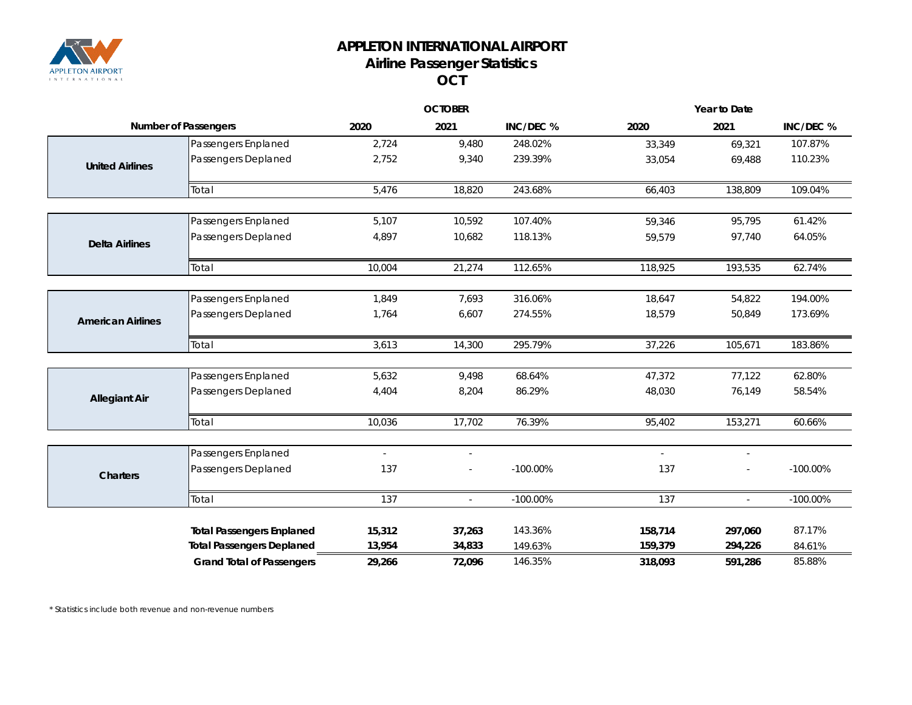

## **APPLETON INTERNATIONAL AIRPORT Airline Passenger Statistics OCT**

|                             |                                  | <b>OCTOBER</b>           |                          | Year to Date |          |                          |             |
|-----------------------------|----------------------------------|--------------------------|--------------------------|--------------|----------|--------------------------|-------------|
| <b>Number of Passengers</b> |                                  | 2020                     | 2021                     | INC/DEC %    | 2020     | 2021                     | INC/DEC %   |
|                             | Passengers Enplaned              | 2,724                    | 9,480                    | 248.02%      | 33,349   | 69,321                   | 107.87%     |
| <b>United Airlines</b>      | Passengers Deplaned              | 2,752                    | 9,340                    | 239.39%      | 33,054   | 69,488                   | 110.23%     |
|                             | Total                            | 5,476                    | 18,820                   | 243.68%      | 66,403   | 138,809                  | 109.04%     |
|                             | Passengers Enplaned              | 5,107                    | 10,592                   | 107.40%      | 59,346   | 95,795                   | 61.42%      |
| <b>Delta Airlines</b>       | Passengers Deplaned              | 4,897                    | 10,682                   | 118.13%      | 59,579   | 97,740                   | 64.05%      |
|                             | Total                            | 10,004                   | 21,274                   | 112.65%      | 118,925  | 193,535                  | 62.74%      |
|                             | Passengers Enplaned              | 1,849                    | 7,693                    | 316.06%      | 18,647   | 54,822                   | 194.00%     |
| <b>American Airlines</b>    | Passengers Deplaned              | 1,764                    | 6,607                    | 274.55%      | 18,579   | 50,849                   | 173.69%     |
|                             | Total                            | 3,613                    | 14,300                   | 295.79%      | 37,226   | 105,671                  | 183.86%     |
|                             | Passengers Enplaned              | 5,632                    | 9,498                    | 68.64%       | 47,372   | 77,122                   | 62.80%      |
| <b>Allegiant Air</b>        | Passengers Deplaned              | 4,404                    | 8,204                    | 86.29%       | 48,030   | 76,149                   | 58.54%      |
|                             | Total                            | 10,036                   | 17,702                   | 76.39%       | 95,402   | 153,271                  | 60.66%      |
|                             | Passengers Enplaned              | $\overline{\phantom{a}}$ | $\overline{\phantom{a}}$ |              | $\omega$ | $\overline{\phantom{a}}$ |             |
| <b>Charters</b>             | Passengers Deplaned              | 137                      |                          | $-100.00\%$  | 137      |                          | $-100.00\%$ |
|                             | Total                            | 137                      | $\overline{a}$           | $-100.00\%$  | 137      | $\overline{a}$           | $-100.00\%$ |
|                             | <b>Total Passengers Enplaned</b> | 15,312                   | 37,263                   | 143.36%      | 158,714  | 297,060                  | 87.17%      |
|                             | <b>Total Passengers Deplaned</b> | 13,954                   | 34,833                   | 149.63%      | 159,379  | 294,226                  | 84.61%      |
|                             | <b>Grand Total of Passengers</b> | 29,266                   | 72,096                   | 146.35%      | 318,093  | 591,286                  | 85.88%      |

*\* Statistics include both revenue and non-revenue numbers*